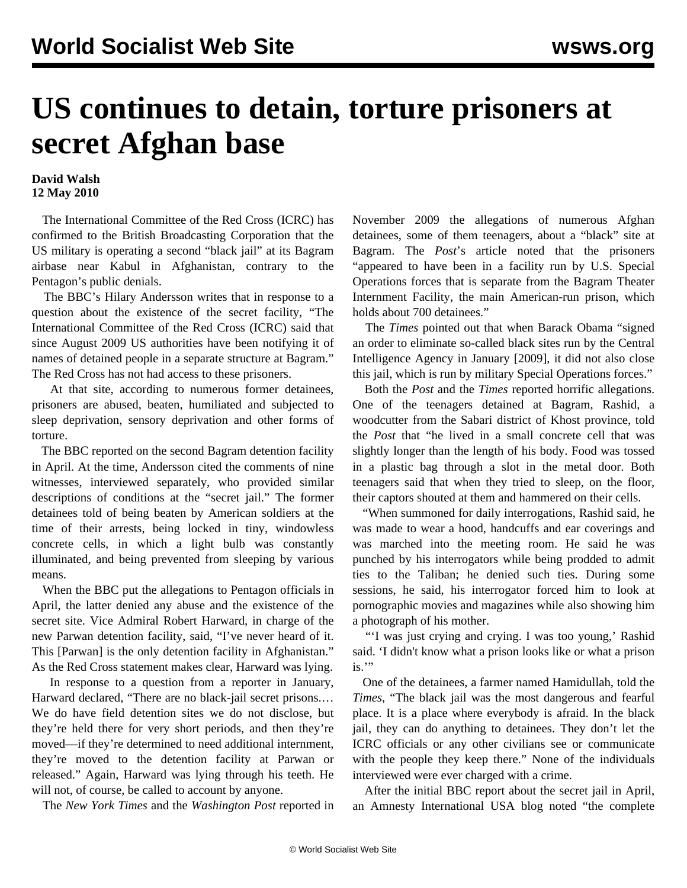## **US continues to detain, torture prisoners at secret Afghan base**

## **David Walsh 12 May 2010**

 The International Committee of the Red Cross (ICRC) has confirmed to the British Broadcasting Corporation that the US military is operating a second "black jail" at its Bagram airbase near Kabul in Afghanistan, contrary to the Pentagon's public denials.

 The BBC's Hilary Andersson writes that in response to a question about the existence of the secret facility, "The International Committee of the Red Cross (ICRC) said that since August 2009 US authorities have been notifying it of names of detained people in a separate structure at Bagram." The Red Cross has not had access to these prisoners.

 At that site, according to numerous former detainees, prisoners are abused, beaten, humiliated and subjected to sleep deprivation, sensory deprivation and other forms of torture.

 The BBC reported on the second Bagram detention facility in April. At the time, Andersson cited the comments of nine witnesses, interviewed separately, who provided similar descriptions of conditions at the "secret jail." The former detainees told of being beaten by American soldiers at the time of their arrests, being locked in tiny, windowless concrete cells, in which a light bulb was constantly illuminated, and being prevented from sleeping by various means.

 When the BBC put the allegations to Pentagon officials in April, the latter denied any abuse and the existence of the secret site. Vice Admiral Robert Harward, in charge of the new Parwan detention facility, said, "I've never heard of it. This [Parwan] is the only detention facility in Afghanistan." As the Red Cross statement makes clear, Harward was lying.

 In response to a question from a reporter in January, Harward declared, "There are no black-jail secret prisons.… We do have field detention sites we do not disclose, but they're held there for very short periods, and then they're moved—if they're determined to need additional internment, they're moved to the detention facility at Parwan or released." Again, Harward was lying through his teeth. He will not, of course, be called to account by anyone.

The *New York Times* and the *Washington Post* reported in

November 2009 the allegations of numerous Afghan detainees, some of them teenagers, about a "black" site at Bagram. The *Post*'s article noted that the prisoners "appeared to have been in a facility run by U.S. Special Operations forces that is separate from the Bagram Theater Internment Facility, the main American-run prison, which holds about 700 detainees."

 The *Times* pointed out that when Barack Obama "signed an order to eliminate so-called black sites run by the Central Intelligence Agency in January [2009], it did not also close this jail, which is run by military Special Operations forces."

 Both the *Post* and the *Times* reported horrific allegations. One of the teenagers detained at Bagram, Rashid, a woodcutter from the Sabari district of Khost province, told the *Post* that "he lived in a small concrete cell that was slightly longer than the length of his body. Food was tossed in a plastic bag through a slot in the metal door. Both teenagers said that when they tried to sleep, on the floor, their captors shouted at them and hammered on their cells.

 "When summoned for daily interrogations, Rashid said, he was made to wear a hood, handcuffs and ear coverings and was marched into the meeting room. He said he was punched by his interrogators while being prodded to admit ties to the Taliban; he denied such ties. During some sessions, he said, his interrogator forced him to look at pornographic movies and magazines while also showing him a photograph of his mother.

 "'I was just crying and crying. I was too young,' Rashid said. 'I didn't know what a prison looks like or what a prison is."

 One of the detainees, a farmer named Hamidullah, told the *Times*, "The black jail was the most dangerous and fearful place. It is a place where everybody is afraid. In the black jail, they can do anything to detainees. They don't let the ICRC officials or any other civilians see or communicate with the people they keep there." None of the individuals interviewed were ever charged with a crime.

 After the initial BBC report about the secret jail in April, an Amnesty International USA blog noted "the complete